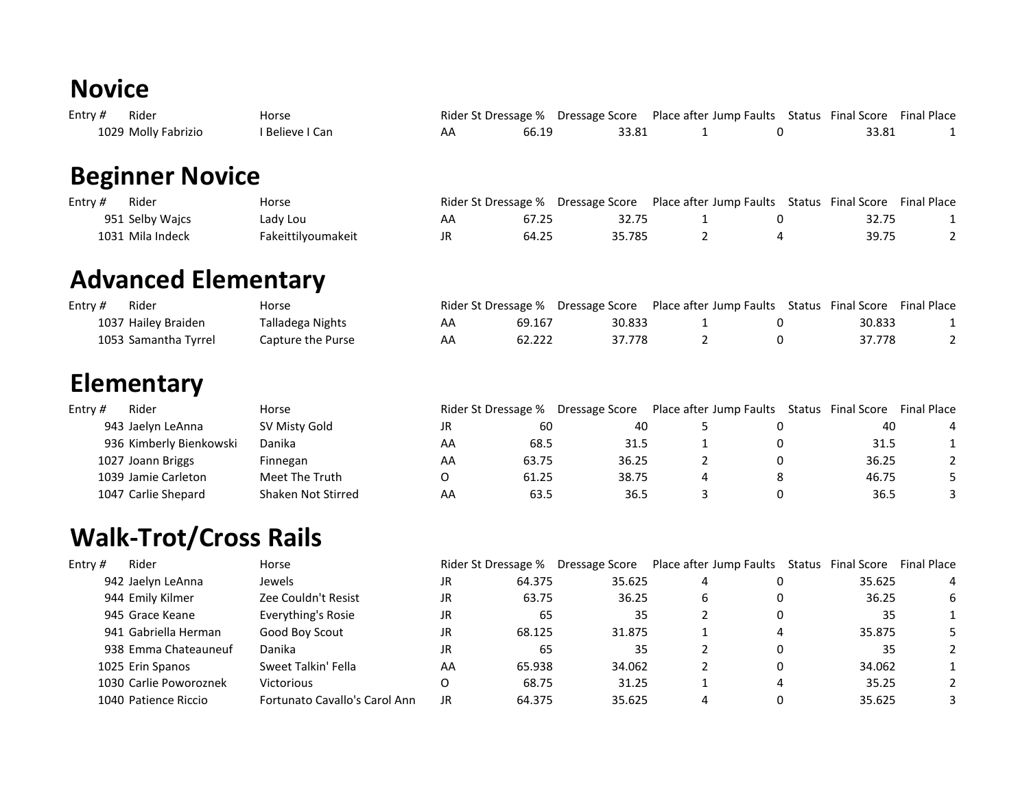#### **Novice**

| Entry # | Rider               | Horse           | Rider St Dressage % Dressage Score Place after Jump Faults Status Final Score Final Place |       |  |       |  |
|---------|---------------------|-----------------|-------------------------------------------------------------------------------------------|-------|--|-------|--|
|         | 1029 Molly Fabrizio | ' Believe I Can | 66.19                                                                                     | 33.81 |  | 33.81 |  |

## **Beginner Novice**

| Entry $#$ | Rider            | Horse              |    |       |        |  |       | <b>Final Place</b> |
|-----------|------------------|--------------------|----|-------|--------|--|-------|--------------------|
|           | 951 Selby Waics  | Lady Lou           | AA | 67.25 | 32.75  |  |       |                    |
|           | 1031 Mila Indeck | Fakeittilyoumakeit |    | 64.25 | 35.785 |  | 39.75 |                    |

## **Advanced Elementary**

| Entry $#$ | Rider                | Horse             |    |        | Rider St. Dressage % Dressage Score Place after Jump Faults Status Final Score Final Place |  |        |  |
|-----------|----------------------|-------------------|----|--------|--------------------------------------------------------------------------------------------|--|--------|--|
|           | 1037 Hailey Braiden  | Talladega Nights  | AA | 69.167 | 30.833                                                                                     |  | 30.833 |  |
|           | 1053 Samantha Tyrrel | Capture the Purse | AA | 62.222 | 37.778                                                                                     |  | 37.778 |  |

#### **Elementary**

| Entry $#$ | Rider                   | Horse              |    |       |       | Rider St Dressage % Dressage Score Place after Jump Faults Status Final Score |       | <b>Final Place</b> |
|-----------|-------------------------|--------------------|----|-------|-------|-------------------------------------------------------------------------------|-------|--------------------|
|           | 943 Jaelyn LeAnna       | SV Misty Gold      | JR | 60    | 40    |                                                                               | 40    |                    |
|           | 936 Kimberly Bienkowski | Danika             | AA | 68.5  | 31.5  |                                                                               | 31.5  |                    |
|           | 1027 Joann Briggs       | Finnegan           | AA | 63.75 | 36.25 |                                                                               | 36.25 |                    |
|           | 1039 Jamie Carleton     | Meet The Truth     |    | 61.25 | 38.75 |                                                                               | 46.75 |                    |
|           | 1047 Carlie Shepard     | Shaken Not Stirred | AA | 63.5  | 36.5  |                                                                               | 36.5  |                    |

# **Walk-Trot/Cross Rails**

| Entry # | Rider                  | Horse                         |     | Rider St Dressage % | Dressage Score |   | Place after Jump Faults Status Final Score |        | <b>Final Place</b> |
|---------|------------------------|-------------------------------|-----|---------------------|----------------|---|--------------------------------------------|--------|--------------------|
|         | 942 Jaelyn LeAnna      | Jewels                        | JR  | 64.375              | 35.625         | 4 |                                            | 35.625 | 4                  |
|         | 944 Emily Kilmer       | Zee Couldn't Resist           | JR  | 63.75               | 36.25          | 6 |                                            | 36.25  | 6                  |
|         | 945 Grace Keane        | Everything's Rosie            | JR  | 65                  | 35             |   | $\Omega$                                   | 35     |                    |
|         | 941 Gabriella Herman   | Good Boy Scout                | JR. | 68.125              | 31.875         |   | 4                                          | 35.875 |                    |
|         | 938 Emma Chateauneuf   | Danika                        | JR  | 65                  | 35             |   | $\Omega$                                   | 35     |                    |
|         | 1025 Erin Spanos       | Sweet Talkin' Fella           | AA  | 65.938              | 34.062         |   | 0                                          | 34.062 |                    |
|         | 1030 Carlie Poworoznek | Victorious                    | O   | 68.75               | 31.25          |   | 4                                          | 35.25  |                    |
|         | 1040 Patience Riccio   | Fortunato Cavallo's Carol Ann | JR  | 64.375              | 35.625         |   |                                            | 35.625 |                    |
|         |                        |                               |     |                     |                |   |                                            |        |                    |